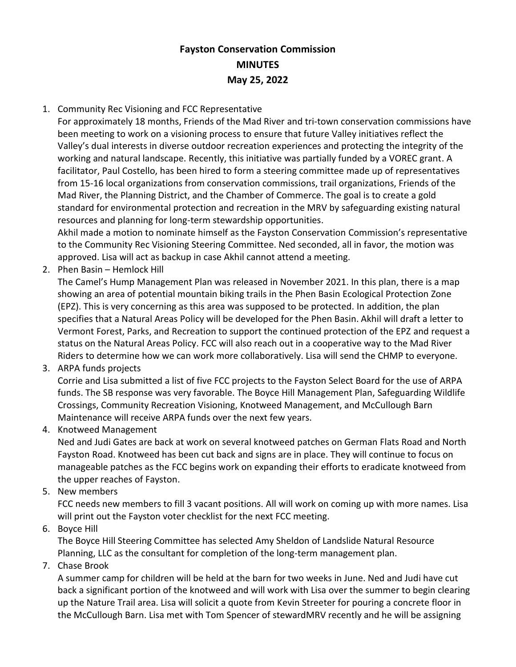## **Fayston Conservation Commission MINUTES May 25, 2022**

## 1. Community Rec Visioning and FCC Representative

For approximately 18 months, Friends of the Mad River and tri-town conservation commissions have been meeting to work on a visioning process to ensure that future Valley initiatives reflect the Valley's dual interests in diverse outdoor recreation experiences and protecting the integrity of the working and natural landscape. Recently, this initiative was partially funded by a VOREC grant. A facilitator, Paul Costello, has been hired to form a steering committee made up of representatives from 15-16 local organizations from conservation commissions, trail organizations, Friends of the Mad River, the Planning District, and the Chamber of Commerce. The goal is to create a gold standard for environmental protection and recreation in the MRV by safeguarding existing natural resources and planning for long-term stewardship opportunities.

Akhil made a motion to nominate himself as the Fayston Conservation Commission's representative to the Community Rec Visioning Steering Committee. Ned seconded, all in favor, the motion was approved. Lisa will act as backup in case Akhil cannot attend a meeting.

2. Phen Basin – Hemlock Hill

The Camel's Hump Management Plan was released in November 2021. In this plan, there is a map showing an area of potential mountain biking trails in the Phen Basin Ecological Protection Zone (EPZ). This is very concerning as this area was supposed to be protected. In addition, the plan specifies that a Natural Areas Policy will be developed for the Phen Basin. Akhil will draft a letter to Vermont Forest, Parks, and Recreation to support the continued protection of the EPZ and request a status on the Natural Areas Policy. FCC will also reach out in a cooperative way to the Mad River Riders to determine how we can work more collaboratively. Lisa will send the CHMP to everyone.

3. ARPA funds projects

Corrie and Lisa submitted a list of five FCC projects to the Fayston Select Board for the use of ARPA funds. The SB response was very favorable. The Boyce Hill Management Plan, Safeguarding Wildlife Crossings, Community Recreation Visioning, Knotweed Management, and McCullough Barn Maintenance will receive ARPA funds over the next few years.

4. Knotweed Management

Ned and Judi Gates are back at work on several knotweed patches on German Flats Road and North Fayston Road. Knotweed has been cut back and signs are in place. They will continue to focus on manageable patches as the FCC begins work on expanding their efforts to eradicate knotweed from the upper reaches of Fayston.

5. New members

FCC needs new members to fill 3 vacant positions. All will work on coming up with more names. Lisa will print out the Fayston voter checklist for the next FCC meeting.

6. Boyce Hill

The Boyce Hill Steering Committee has selected Amy Sheldon of Landslide Natural Resource Planning, LLC as the consultant for completion of the long-term management plan.

7. Chase Brook

A summer camp for children will be held at the barn for two weeks in June. Ned and Judi have cut back a significant portion of the knotweed and will work with Lisa over the summer to begin clearing up the Nature Trail area. Lisa will solicit a quote from Kevin Streeter for pouring a concrete floor in the McCullough Barn. Lisa met with Tom Spencer of stewardMRV recently and he will be assigning